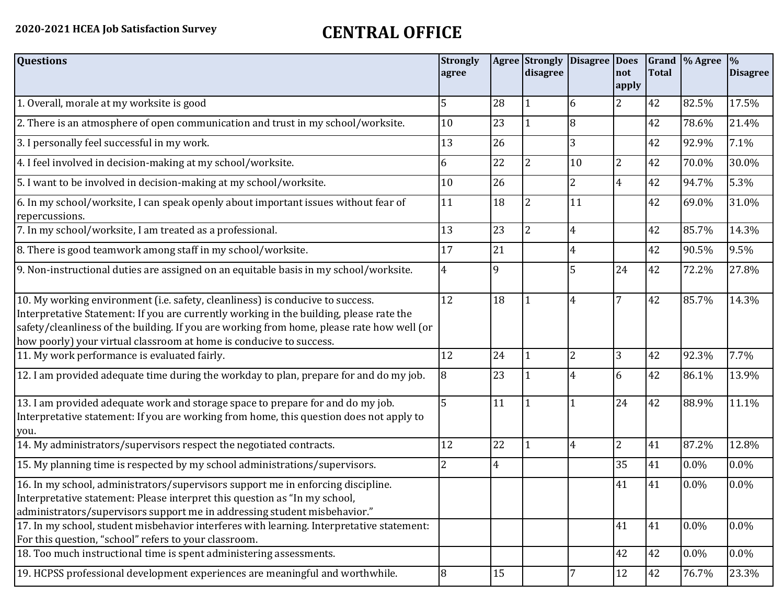## **2020-2021 HCEA Job Satisfaction Survey CENTRAL OFFICE**

| <b>Questions</b>                                                                                                                                                                                                                                                                                                                               | <b>Strongly</b><br>agree |                | disagree       | <b>Agree Strongly Disagree Does</b> | not<br>apply   | <b>Total</b> | Grand  % Agree | $\frac{9}{6}$<br><b>Disagree</b> |
|------------------------------------------------------------------------------------------------------------------------------------------------------------------------------------------------------------------------------------------------------------------------------------------------------------------------------------------------|--------------------------|----------------|----------------|-------------------------------------|----------------|--------------|----------------|----------------------------------|
| 1. Overall, morale at my worksite is good                                                                                                                                                                                                                                                                                                      | 5                        | 28             |                | 6                                   | 2              | 42           | 82.5%          | 17.5%                            |
| 2. There is an atmosphere of open communication and trust in my school/worksite.                                                                                                                                                                                                                                                               | 10                       | 23             |                | 8                                   |                | 42           | 78.6%          | 21.4%                            |
| 3. I personally feel successful in my work.                                                                                                                                                                                                                                                                                                    | 13                       | 26             |                | 3                                   |                | 42           | 92.9%          | 7.1%                             |
| 4. I feel involved in decision-making at my school/worksite.                                                                                                                                                                                                                                                                                   | 6                        | 22             | 2              | $ 10\rangle$                        | 2              | 42           | 70.0%          | 30.0%                            |
| 5. I want to be involved in decision-making at my school/worksite.                                                                                                                                                                                                                                                                             | 10                       | 26             |                | $\overline{2}$                      | $\overline{4}$ | 42           | 94.7%          | 5.3%                             |
| 6. In my school/worksite, I can speak openly about important issues without fear of<br>repercussions.                                                                                                                                                                                                                                          | 11                       | 18             | 2              | 11                                  |                | 42           | 69.0%          | 31.0%                            |
| 7. In my school/worksite, I am treated as a professional.                                                                                                                                                                                                                                                                                      | 13                       | 23             | $\overline{2}$ | $\overline{4}$                      |                | 42           | 85.7%          | 14.3%                            |
| 8. There is good teamwork among staff in my school/worksite.                                                                                                                                                                                                                                                                                   | 17                       | 21             |                | $\overline{4}$                      |                | 42           | 90.5%          | 9.5%                             |
| 9. Non-instructional duties are assigned on an equitable basis in my school/worksite.                                                                                                                                                                                                                                                          | $\overline{4}$           | 9              |                | 5                                   | 24             | 42           | 72.2%          | 27.8%                            |
| 10. My working environment (i.e. safety, cleanliness) is conducive to success.<br>Interpretative Statement: If you are currently working in the building, please rate the<br>safety/cleanliness of the building. If you are working from home, please rate how well (or<br>how poorly) your virtual classroom at home is conducive to success. | 12                       | 18             |                | $\overline{4}$                      | $\overline{7}$ | 42           | 85.7%          | 14.3%                            |
| 11. My work performance is evaluated fairly.                                                                                                                                                                                                                                                                                                   | 12                       | 24             |                | $\overline{2}$                      | 3              | 42           | 92.3%          | 7.7%                             |
| 12. I am provided adequate time during the workday to plan, prepare for and do my job.                                                                                                                                                                                                                                                         | 8                        | 23             |                | 4                                   | 6              | 42           | 86.1%          | 13.9%                            |
| 13. I am provided adequate work and storage space to prepare for and do my job.<br>Interpretative statement: If you are working from home, this question does not apply to<br>you.                                                                                                                                                             | 5                        | 11             |                | $\mathbf{1}$                        | 24             | 42           | 88.9%          | 11.1%                            |
| 14. My administrators/supervisors respect the negotiated contracts.                                                                                                                                                                                                                                                                            | 12                       | 22             |                | $\overline{4}$                      | $\overline{2}$ | 41           | 87.2%          | 12.8%                            |
| 15. My planning time is respected by my school administrations/supervisors.                                                                                                                                                                                                                                                                    | 2                        | $\overline{4}$ |                |                                     | 35             | 41           | 0.0%           | 0.0%                             |
| 16. In my school, administrators/supervisors support me in enforcing discipline.<br>Interpretative statement: Please interpret this question as "In my school,<br>administrators/supervisors support me in addressing student misbehavior."                                                                                                    |                          |                |                |                                     | 41             | 41           | 0.0%           | 0.0%                             |
| 17. In my school, student misbehavior interferes with learning. Interpretative statement:<br>For this question, "school" refers to your classroom.                                                                                                                                                                                             |                          |                |                |                                     | 41             | 41           | 0.0%           | $0.0\%$                          |
| 18. Too much instructional time is spent administering assessments.                                                                                                                                                                                                                                                                            |                          |                |                |                                     | 42             | 42           | 0.0%           | 0.0%                             |
| 19. HCPSS professional development experiences are meaningful and worthwhile.                                                                                                                                                                                                                                                                  | 8                        | 15             |                | 7                                   | 12             | 42           | 76.7%          | 23.3%                            |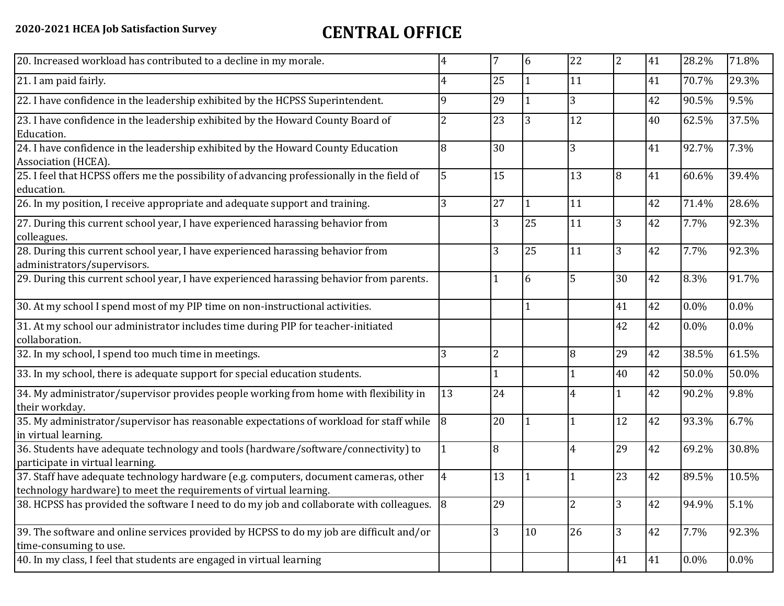## **2020-2021 HCEA Job Satisfaction Survey CENTRAL OFFICE**

| 22             | 7<br>6<br>4                                                                                                      | $\overline{2}$<br>41 | 28.2%   | 71.8%    |
|----------------|------------------------------------------------------------------------------------------------------------------|----------------------|---------|----------|
| 11             | 25<br>4                                                                                                          | 41                   | 70.7%   | 29.3%    |
| 3              | 22. I have confidence in the leadership exhibited by the HCPSS Superintendent.<br>9<br>29                        | 42                   | 90.5%   | 9.5%     |
| 12             | 23. I have confidence in the leadership exhibited by the Howard County Board of<br>23<br>$\overline{2}$<br>3     | 40                   | 62.5%   | 37.5%    |
| 3              | 24. I have confidence in the leadership exhibited by the Howard County Education<br>8<br>30                      | 41                   | 92.7%   | 7.3%     |
| 13             | 25. I feel that HCPSS offers me the possibility of advancing professionally in the field of<br>5<br>15           | 8<br>41              | 60.6%   | 39.4%    |
| 11             | 27<br>3<br>26. In my position, I receive appropriate and adequate support and training.                          | 42                   | 71.4%   | 28.6%    |
| 11             | 25<br>27. During this current school year, I have experienced harassing behavior from<br>3                       | 42<br>3              | 7.7%    | 92.3%    |
| 11             | 28. During this current school year, I have experienced harassing behavior from<br>25<br>3                       | 3<br>42              | 7.7%    | 92.3%    |
| 5              | 29. During this current school year, I have experienced harassing behavior from parents.<br>6                    | 30<br>42             | 8.3%    | 91.7%    |
|                | 30. At my school I spend most of my PIP time on non-instructional activities.                                    | 41<br>42             | 0.0%    | 0.0%     |
|                | 31. At my school our administrator includes time during PIP for teacher-initiated                                | 42<br>42             | 0.0%    | 0.0%     |
| 8              | 3<br>$\overline{2}$                                                                                              | 29<br>42             | 38.5%   | 61.5%    |
|                | 33. In my school, there is adequate support for special education students.                                      | 40<br>42             | 50.0%   | 50.0%    |
| 4              | 34. My administrator/supervisor provides people working from home with flexibility in<br>13<br>24                | 42<br>$\mathbf{1}$   | 90.2%   | 9.8%     |
|                | 35. My administrator/supervisor has reasonable expectations of workload for staff while<br>20<br>8               | 12<br>42             | 93.3%   | 6.7%     |
| $\overline{4}$ | 36. Students have adequate technology and tools (hardware/software/connectivity) to<br>$\overline{8}$            | 29<br>42             | 69.2%   | 30.8%    |
|                | 37. Staff have adequate technology hardware (e.g. computers, document cameras, other<br>13<br>4                  | 23<br>42             | 89.5%   | 10.5%    |
| 2              | 29<br>38. HCPSS has provided the software I need to do my job and collaborate with colleagues. 8                 | 3<br>42              | 94.9%   | 5.1%     |
| 26             | 39. The software and online services provided by HCPSS to do my job are difficult and/or<br>$\overline{3}$<br>10 | 3                    | 7.7%    | 92.3%    |
|                |                                                                                                                  | 41                   | $0.0\%$ | $0.0\%$  |
|                |                                                                                                                  |                      |         | 42<br>41 |